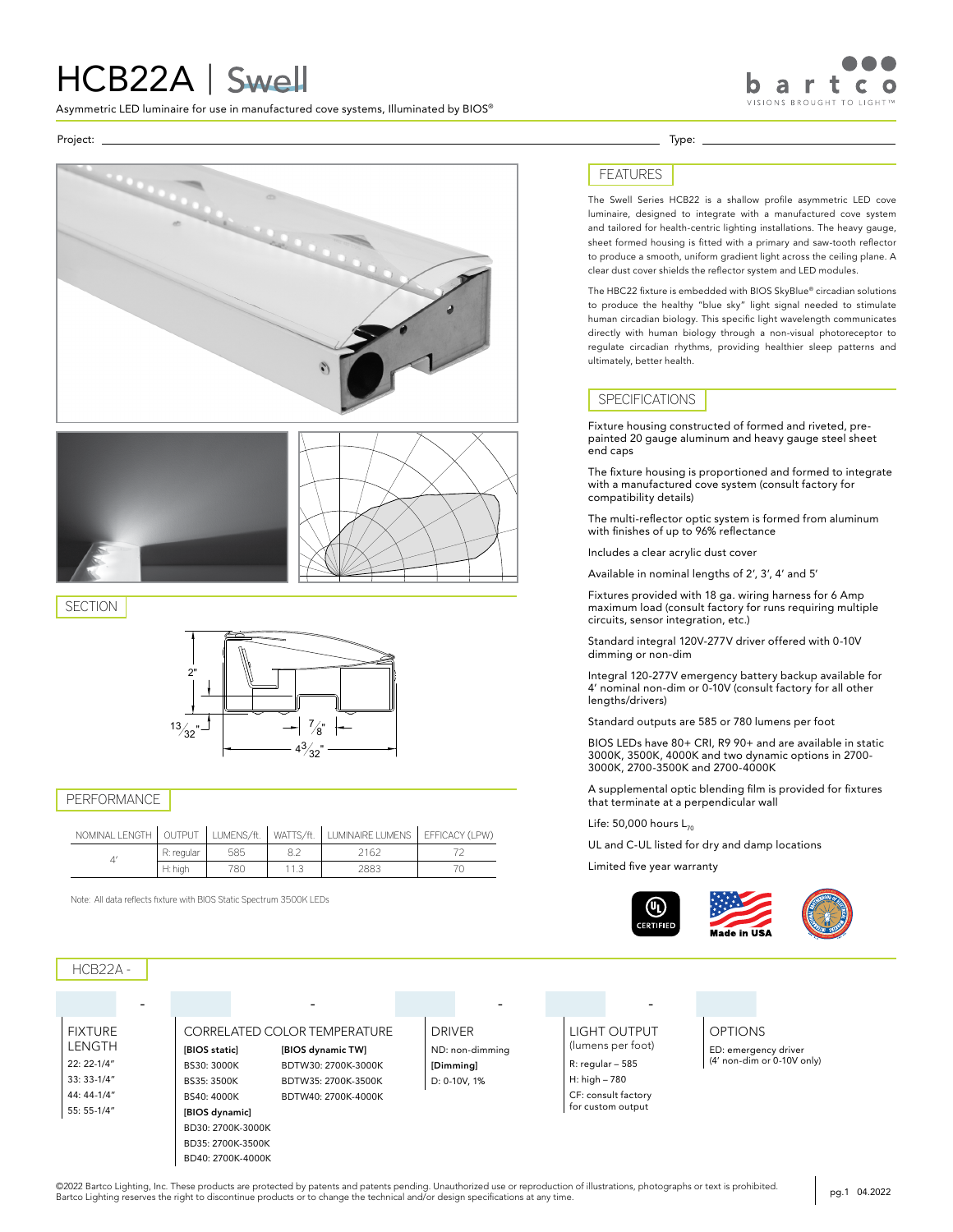# HCB22A | Swell

Asymmetric LED luminaire for use in manufactured cove systems, Illuminated by BIOS®



Project: Type:





**SECTION** 



### PERFORMANCE

| NOMINAL LENGTH | OLITPLIT   | LUMENS/ft. | WATTS/ft. | LUMINAIRE LUMENS | EFFICACY (LPW) |
|----------------|------------|------------|-----------|------------------|----------------|
|                | R: regular | 585        |           | 162              |                |
|                | H: high    | 78C        |           | 2883             |                |

Note: All data reflects fixture with BIOS Static Spectrum 3500K LEDs

# HCB22A -

FIXTURE LENGTH 22: 22-1/4" 33: 33-1/4" 44: 44-1/4" 55: 55-1/4"

- - - - CORRELATED COLOR TEMPERATURE [BIOS static] BS30: 3000K BS35: 3500K BS40: 4000K [BIOS dynamic] BD30: 2700K-3000K BD35: 2700K-3500K BD40: 2700K-4000K [BIOS dynamic TW] BDTW30: 2700K-3000K BDTW35: 2700K-3500K BDTW40: 2700K-4000K

ND: non-dimming [Dimming] D: 0-10V, 1%

DRIVER OPTIONS LIGHT OUTPUT (lumens per foot) R: regular – 585 H: high – 780 CF: consult factory for custom output

FEATURES

The Swell Series HCB22 is a shallow profile asymmetric LED cove luminaire, designed to integrate with a manufactured cove system and tailored for health-centric lighting installations. The heavy gauge, sheet formed housing is fitted with a primary and saw-tooth reflector to produce a smooth, uniform gradient light across the ceiling plane. A clear dust cover shields the reflector system and LED modules.

The HBC22 fixture is embedded with BIOS SkyBlue® circadian solutions to produce the healthy "blue sky" light signal needed to stimulate human circadian biology. This specific light wavelength communicates directly with human biology through a non-visual photoreceptor to regulate circadian rhythms, providing healthier sleep patterns and ultimately, better health.

#### SPECIFICATIONS

Fixture housing constructed of formed and riveted, prepainted 20 gauge aluminum and heavy gauge steel sheet end caps

The fixture housing is proportioned and formed to integrate with a manufactured cove system (consult factory for compatibility details)

The multi-reflector optic system is formed from aluminum with finishes of up to 96% reflectance

Includes a clear acrylic dust cover

Available in nominal lengths of 2', 3', 4' and 5'

Fixtures provided with 18 ga. wiring harness for 6 Amp maximum load (consult factory for runs requiring multiple circuits, sensor integration, etc.)

Standard integral 120V-277V driver offered with 0-10V dimming or non-dim

Integral 120-277V emergency battery backup available for 4' nominal non-dim or 0-10V (consult factory for all other lengths/drivers)

Standard outputs are 585 or 780 lumens per foot

BIOS LEDs have 80+ CRI, R9 90+ and are available in static 3000K, 3500K, 4000K and two dynamic options in 2700- 3000K, 2700-3500K and 2700-4000K

A supplemental optic blending film is provided for fixtures that terminate at a perpendicular wall

Life: 50,000 hours  $L_{70}$ 

UL and C-UL listed for dry and damp locations

Limited five year warranty





ED: emergency driver (4' non-dim or 0-10V only)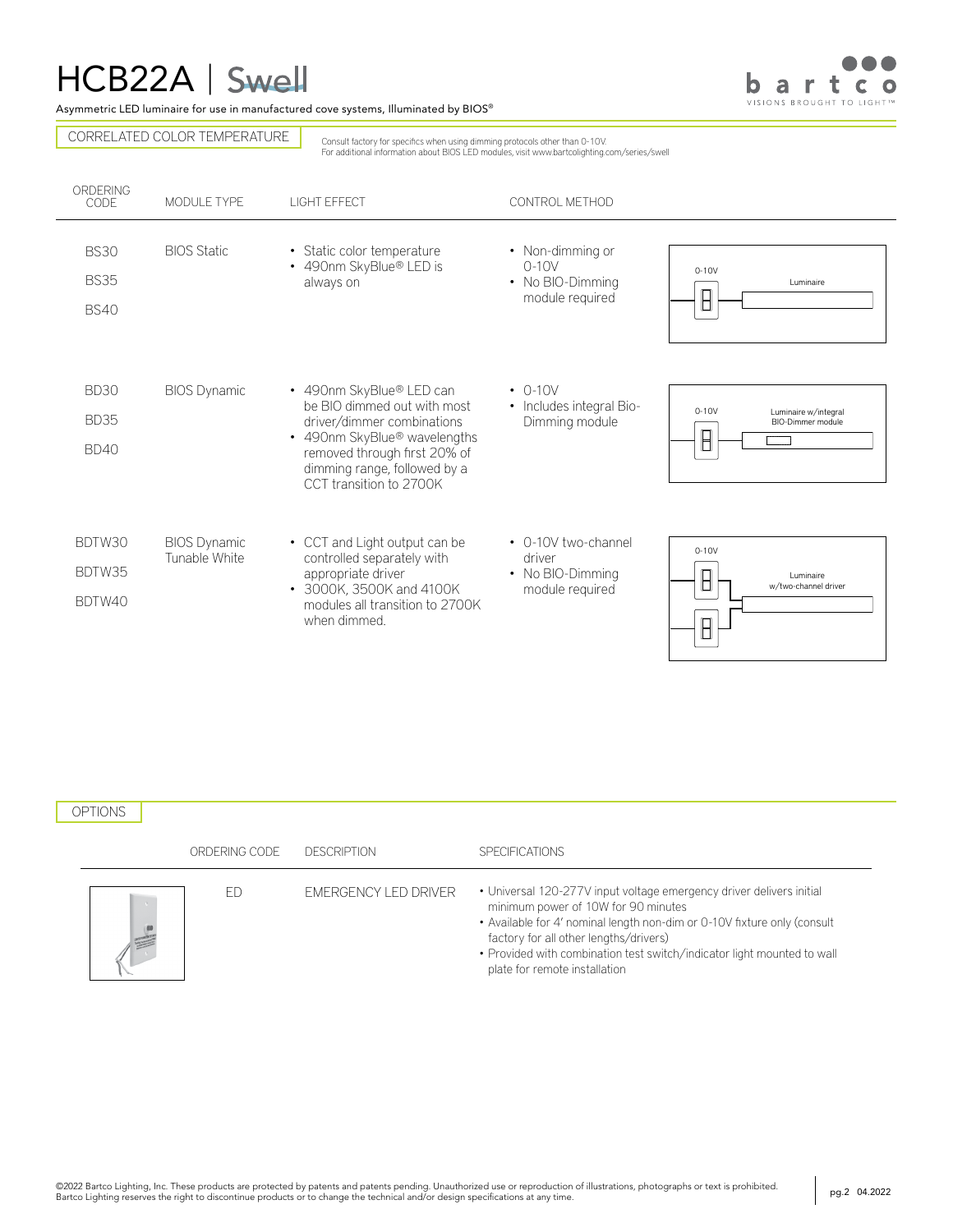# HCB22A |



Asymmetric LED luminaire for use in manufactured cove systems, Illuminated by BIOS®

CORRELATED COLOR TEMPERATURE

Consult factory for specifics when using dimming protocols other than 0-10V. For additional information about BIOS LED modules, visit www.bartcolighting.com/series/swell

| ORDERING<br>CODE                          | MODULE TYPE                          | <b>LIGHT FFFFCT</b>                                                                                                                                                                                                          | CONTROL METHOD                                                       |                                                      |
|-------------------------------------------|--------------------------------------|------------------------------------------------------------------------------------------------------------------------------------------------------------------------------------------------------------------------------|----------------------------------------------------------------------|------------------------------------------------------|
| <b>BS30</b><br><b>BS35</b><br><b>BS40</b> | <b>BIOS Static</b>                   | • Static color temperature<br>• 490nm SkyBlue® LED is<br>always on                                                                                                                                                           | • Non-dimming or<br>$0-10V$<br>• No BIO-Dimming<br>module required   | $0-10V$<br>Luminaire<br>$\boxminus$                  |
| <b>BD30</b><br><b>BD35</b><br><b>BD40</b> | <b>BIOS Dynamic</b>                  | • 490nm SkyBlue® LED can<br>be BIO dimmed out with most<br>driver/dimmer combinations<br>• 490nm SkyBlue <sup>®</sup> wavelengths<br>removed through first 20% of<br>dimming range, followed by a<br>CCT transition to 2700K | $\cdot$ 0-10V<br>• Includes integral Bio-<br>Dimming module          | $0-10V$<br>Luminaire w/integral<br>BIO-Dimmer module |
| BDTW30<br>BDTW35<br>BDTW40                | <b>BIOS Dynamic</b><br>Tunable White | • CCT and Light output can be<br>controlled separately with<br>appropriate driver<br>• 3000K, 3500K and 4100K<br>modules all transition to 2700K<br>when dimmed.                                                             | • 0-10V two-channel<br>driver<br>• No BIO-Dimming<br>module required | $0-10V$<br>I uminaire<br>w/two-channel driver        |

# OPTIONS

| ORDERING CODE | <b>DESCRIPTION</b>   | <b>SPECIFICATIONS</b>                                                                                                                                                                                                                                                                                                                         |
|---------------|----------------------|-----------------------------------------------------------------------------------------------------------------------------------------------------------------------------------------------------------------------------------------------------------------------------------------------------------------------------------------------|
|               | EMERGENCY LED DRIVER | • Universal 120-277V input voltage emergency driver delivers initial<br>minimum power of 10W for 90 minutes<br>• Available for 4' nominal length non-dim or 0-10V fixture only (consult<br>factory for all other lengths/drivers)<br>• Provided with combination test switch/indicator light mounted to wall<br>plate for remote installation |